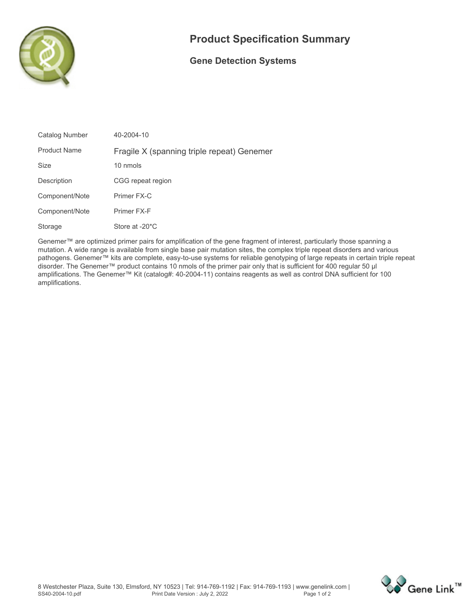

## **Product Specification Summary**

## **Gene Detection Systems**

| Catalog Number      | 40-2004-10                                 |
|---------------------|--------------------------------------------|
| <b>Product Name</b> | Fragile X (spanning triple repeat) Genemer |
| <b>Size</b>         | 10 nmols                                   |
| Description         | CGG repeat region                          |
| Component/Note      | Primer FX-C                                |
| Component/Note      | Primer FX-F                                |
| Storage             | Store at -20 <sup>*</sup> C                |

**Genemer™ are optimized primer pairs for amplification of the gene fragment of interest, particularly those spanning a mutation. A wide range is available from single base pair mutation sites, the complex triple repeat disorders and various pathogens. Genemer™ kits are complete, easy-to-use systems for reliable genotyping of large repeats in certain triple repeat disorder. The Genemer™ product contains 10 nmols of the primer pair only that is sufficient for 400 regular 50 µl amplifications. The Genemer™ Kit (catalog#: 40-2004-11) contains reagents as well as control DNA sufficient for 100 amplifications.**